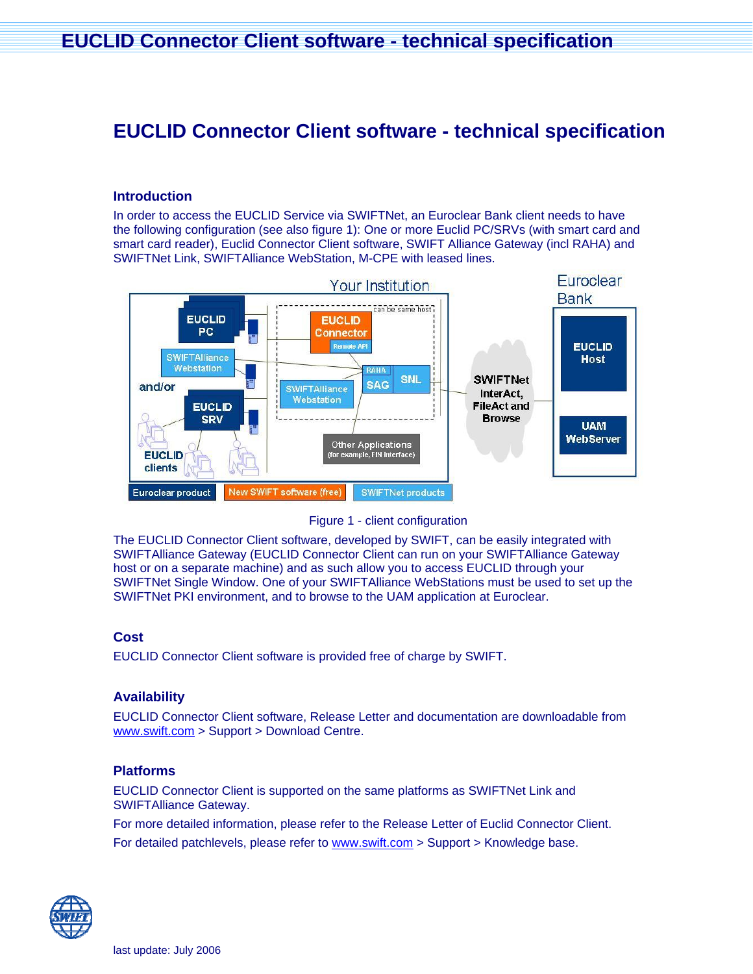# **EUCLID Connector Client software - technical specification**

# **Introduction**

In order to access the EUCLID Service via SWIFTNet, an Euroclear Bank client needs to have the following configuration (see also figure 1): One or more Euclid PC/SRVs (with smart card and smart card reader), Euclid Connector Client software, SWIFT Alliance Gateway (incl RAHA) and SWIFTNet Link, SWIFTAlliance WebStation, M-CPE with leased lines.





The EUCLID Connector Client software, developed by SWIFT, can be easily integrated with SWIFTAlliance Gateway (EUCLID Connector Client can run on your SWIFTAlliance Gateway host or on a separate machine) and as such allow you to access EUCLID through your SWIFTNet Single Window. One of your SWIFTAlliance WebStations must be used to set up the SWIFTNet PKI environment, and to browse to the UAM application at Euroclear.

#### **Cost**

EUCLID Connector Client software is provided free of charge by SWIFT.

# **Availability**

EUCLID Connector Client software, Release Letter and documentation are downloadable from [www.swift.com](http://www.swift.com/) > Support > Download Centre.

# **Platforms**

EUCLID Connector Client is supported on the same platforms as SWIFTNet Link and SWIFTAlliance Gateway.

For more detailed information, please refer to the Release Letter of Euclid Connector Client.

For detailed patchlevels, please refer to [www.swift.com](http://www.swift.com/) > Support > Knowledge base.